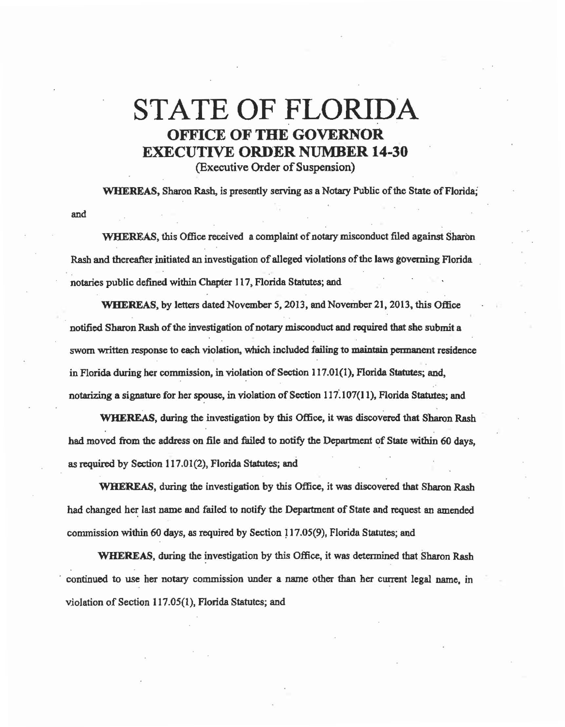## STATE OF FLORIDA OFFICE OF THE GOVERNOR EXECUTIVE ORDER NUMBER 14-30 (Executive Order of Suspension)

WHEREAS, Sharon Rash, is presently serving as a Notary Public of the State of Florida;

WHEREAS, this Office received a complaint of notary misconduct filed against Sharon Rash and thereafter initiated an investigation of alleged violations of the laws governing Florida notaries public defined within Chapter I 17, Florida Statutes; and

and

WHEREAS, by letters dated November *5,* 2013, and November 21, 2013, this Office notified Sharon Rash of the investigation of notary misconduct and required that she submit a sworn written response to each violation, which included failing to maintain permanent residence in Florida during her commission, in violation of Section 117.01(1), Florida Statutes; and, notarizing a signature for her spouse, in violation of Section 117.107(11), Florida Statutes; and

WHEREAS, during the investigation by this Office, it was discovered that Sharon Rash had moved from the address on file and failed to notify the Department of State within 60 days, as required by Section 117.01(2), Florida Statutes; and

WHEREAS, during the investigation by this Office, it was discovered that Sharon Rash had changed her last name and failed to notify the Department of State and request an amended commission within 60 days, as required by Section 117.05(9), Florida Statutes; and

WHEREAS, during the investigation by this Office, it was determined that Sharon Rash · continued to use her notary commission under a name other than her current legal name, in violation of Section 117.05(1), Florida Statutes; and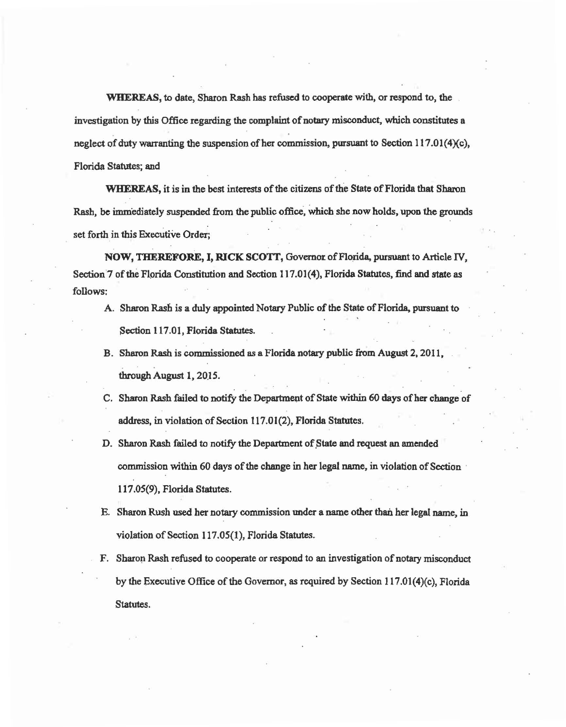WHEREAS, to date, Sharon Rash has refused to cooperate with, or respond to, the investigation by this Office regarding the complaint of notary misconduct, which constitutes a neglect of duty warranting the suspension of her commission, pursuant to Section  $117.01(4)(c)$ , Florida Statutes; and

WHEREAS, it is in the best interests of the citizens of the State of Florida that Sharon Rash, be immediately suspended from the public office, which she now holds, upon the grounds set forth in this Executive Order;

NOW, THEREFORE, I, RICK SCOTT, Governor of Florida, pursuant to Article IV, Section 7 of the Florida Constitution and Section 117.01(4), Florida Statutes, find and state as follows;

- A. Sharon Rash is a duly appointed Notary Public of the State of Florida, pursuant to Section 117.01, Florida Statutes.
- B. Sharon Rash is commissioned as a Florida notary public from August 2, 2011. through August 1, 2015.
- C. Sharon Rash failed to notify the Department of State within 60 days of her change of address, in violation of Section 117.01(2), Florida Statutes.
- D. Sharon Rash failed to notify the Department of State and request an amended commission within 60 days of the change in her legal name, in violation of Section · 1 I 7 .05(9), Florida Statutes.
- E. Sharon Rush used her notary commission under a name other than her legal name, in violation of Section 117.05(1), Florida Statutes.
- F. Sharon Rash refused to cooperate or respond to an investigation of notary misconduct by the Executive Office of the Governor, as required by Section 117.01(4)(c), Florida Statutes.